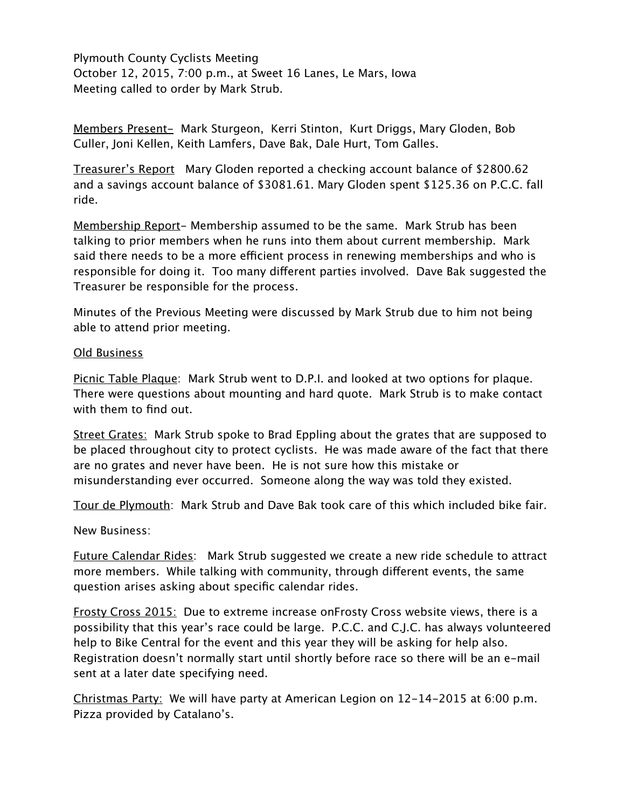Plymouth County Cyclists Meeting October 12, 2015, 7:00 p.m., at Sweet 16 Lanes, Le Mars, Iowa Meeting called to order by Mark Strub.

Members Present- Mark Sturgeon, Kerri Stinton, Kurt Driggs, Mary Gloden, Bob Culler, Joni Kellen, Keith Lamfers, Dave Bak, Dale Hurt, Tom Galles.

Treasurer's Report Mary Gloden reported a checking account balance of \$2800.62 and a savings account balance of \$3081.61. Mary Gloden spent \$125.36 on P.C.C. fall ride.

Membership Report- Membership assumed to be the same. Mark Strub has been talking to prior members when he runs into them about current membership. Mark said there needs to be a more efficient process in renewing memberships and who is responsible for doing it. Too many different parties involved. Dave Bak suggested the Treasurer be responsible for the process.

Minutes of the Previous Meeting were discussed by Mark Strub due to him not being able to attend prior meeting.

## Old Business

Picnic Table Plaque: Mark Strub went to D.P.I. and looked at two options for plaque. There were questions about mounting and hard quote. Mark Strub is to make contact with them to find out.

Street Grates: Mark Strub spoke to Brad Eppling about the grates that are supposed to be placed throughout city to protect cyclists. He was made aware of the fact that there are no grates and never have been. He is not sure how this mistake or misunderstanding ever occurred. Someone along the way was told they existed.

Tour de Plymouth: Mark Strub and Dave Bak took care of this which included bike fair.

New Business:

Future Calendar Rides: Mark Strub suggested we create a new ride schedule to attract more members. While talking with community, through different events, the same question arises asking about specific calendar rides.

Frosty Cross 2015: Due to extreme increase onFrosty Cross website views, there is a possibility that this year's race could be large. P.C.C. and C.J.C. has always volunteered help to Bike Central for the event and this year they will be asking for help also. Registration doesn't normally start until shortly before race so there will be an e-mail sent at a later date specifying need.

Christmas Party: We will have party at American Legion on 12-14-2015 at 6:00 p.m. Pizza provided by Catalano's.